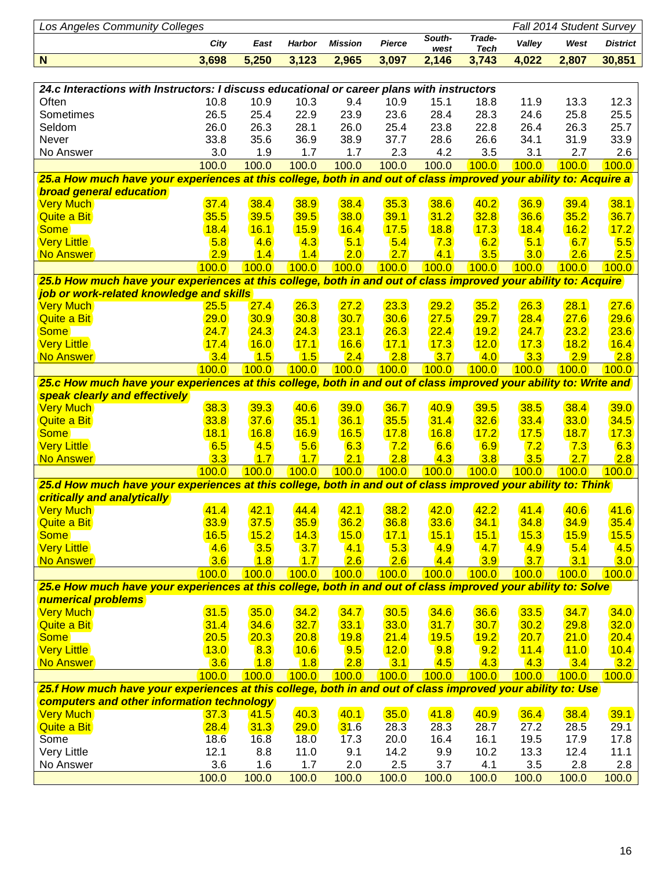| <b>Los Angeles Community Colleges</b>                                                                                                                     | Fall 2014 Student Survey |            |               |                |               |                |                       |             |             |                 |  |  |
|-----------------------------------------------------------------------------------------------------------------------------------------------------------|--------------------------|------------|---------------|----------------|---------------|----------------|-----------------------|-------------|-------------|-----------------|--|--|
|                                                                                                                                                           | City                     | East       | <b>Harbor</b> | <b>Mission</b> | <b>Pierce</b> | South-<br>west | Trade-<br><b>Tech</b> | Valley      | West        | <b>District</b> |  |  |
| N                                                                                                                                                         | 3,698                    | 5,250      | 3,123         | 2,965          | 3,097         | 2,146          | 3,743                 | 4,022       | 2,807       | 30,851          |  |  |
|                                                                                                                                                           |                          |            |               |                |               |                |                       |             |             |                 |  |  |
| 24.c Interactions with Instructors: I discuss educational or career plans with instructors                                                                |                          |            |               |                |               |                |                       |             |             |                 |  |  |
| Often                                                                                                                                                     | 10.8                     | 10.9       | 10.3          | 9.4            | 10.9          | 15.1           | 18.8                  | 11.9        | 13.3        | 12.3            |  |  |
| Sometimes                                                                                                                                                 | 26.5                     | 25.4       | 22.9          | 23.9           | 23.6          | 28.4           | 28.3                  | 24.6        | 25.8        | 25.5            |  |  |
| Seldom                                                                                                                                                    | 26.0                     | 26.3       | 28.1          | 26.0           | 25.4          | 23.8           | 22.8                  | 26.4        | 26.3        | 25.7            |  |  |
| Never                                                                                                                                                     | 33.8                     | 35.6       | 36.9          | 38.9           | 37.7          | 28.6           | 26.6                  | 34.1        | 31.9        | 33.9            |  |  |
| No Answer                                                                                                                                                 | 3.0                      | 1.9        | 1.7           | 1.7            | 2.3           | 4.2            | 3.5                   | 3.1         | 2.7         | 2.6             |  |  |
|                                                                                                                                                           | 100.0                    | 100.0      | 100.0         | 100.0          | 100.0         | 100.0          | 100.0                 | 100.0       | 100.0       | 100.0           |  |  |
| 25.a How much have your experiences at this college, both in and out of class improved your ability to: Acquire a                                         |                          |            |               |                |               |                |                       |             |             |                 |  |  |
| <b>broad general education</b>                                                                                                                            |                          |            |               |                |               |                |                       |             |             |                 |  |  |
| <b>Very Much</b>                                                                                                                                          | 37.4                     | 38.4       | 38.9          | 38.4           | 35.3          | 38.6           | 40.2                  | 36.9        | 39.4        | 38.1            |  |  |
| <b>Quite a Bit</b>                                                                                                                                        | 35.5                     | 39.5       | 39.5          | 38.0           | 39.1          | 31.2           | 32.8                  | 36.6        | 35.2        | 36.7            |  |  |
| <b>Some</b>                                                                                                                                               | 18.4                     | 16.1       | 15.9          | 16.4           | 17.5          | 18.8           | 17.3                  | 18.4        | 16.2        | 17.2            |  |  |
| <b>Very Little</b>                                                                                                                                        | 5.8                      | 4.6        | 4.3           | 5.1            | 5.4           | 7.3            | 6.2                   | 5.1         | 6.7         | 5.5             |  |  |
| No Answer                                                                                                                                                 | 2.9                      | 1.4        | 1.4           | 2.0            | 2.7           | 4.1            | 3.5                   | 3.0         | 2.6         | 2.5             |  |  |
|                                                                                                                                                           | 100.0                    | 100.0      | 100.0         | 100.0          | 100.0         | 100.0          | 100.0                 | 100.0       | 100.0       | 100.0           |  |  |
| 25.b How much have your experiences at this college, both in and out of class improved your ability to: Acquire                                           |                          |            |               |                |               |                |                       |             |             |                 |  |  |
| job or work-related knowledge and skills                                                                                                                  |                          |            |               |                |               |                |                       |             |             |                 |  |  |
| <b>Very Much</b>                                                                                                                                          | 25.5                     | 27.4       | 26.3          | 27.2           | 23.3          | 29.2           | 35.2                  | 26.3        | 28.1        | 27.6            |  |  |
| <b>Quite a Bit</b>                                                                                                                                        | 29.0                     | 30.9       | 30.8          | 30.7           | 30.6          | 27.5           | 29.7                  | 28.4        | 27.6        | 29.6            |  |  |
| <b>Some</b>                                                                                                                                               | 24.7                     | 24.3       | 24.3          | 23.1           | 26.3          | 22.4           | 19.2                  | 24.7        | 23.2        | 23.6            |  |  |
| <b>Very Little</b>                                                                                                                                        | 17.4                     | 16.0       | 17.1          | 16.6           | 17.1          | 17.3           | 12.0                  | 17.3        | 18.2        | 16.4            |  |  |
| <b>No Answer</b>                                                                                                                                          | 3.4                      | 1.5        | 1.5           | 2.4            | 2.8           | 3.7            | 4.0                   | 3.3         | 2.9         | 2.8             |  |  |
|                                                                                                                                                           | 100.0                    | 100.0      | 100.0         | 100.0          | 100.0         | 100.0          | 100.0                 | 100.0       | 100.0       | 100.0           |  |  |
| 25.c How much have your experiences at this college, both in and out of class improved your ability to: Write and                                         |                          |            |               |                |               |                |                       |             |             |                 |  |  |
| speak clearly and effectively                                                                                                                             |                          |            |               |                |               |                |                       |             |             |                 |  |  |
| <b>Very Much</b>                                                                                                                                          | 38.3                     | 39.3       | 40.6          | 39.0           | 36.7          | 40.9           | 39.5                  | 38.5        | 38.4        | 39.0            |  |  |
| <b>Quite a Bit</b>                                                                                                                                        | 33.8                     | 37.6       | 35.1          | 36.1           | 35.5          | 31.4           | 32.6                  | 33.4        | 33.0        | 34.5            |  |  |
| <b>Some</b>                                                                                                                                               | 18.1                     | 16.8       | <b>16.9</b>   | 16.5           | 17.8          | 16.8           | 17.2                  | 17.5        | 18.7        | 17.3            |  |  |
| <b>Very Little</b>                                                                                                                                        | 6.5                      | 4.5        | 5.6           | 6.3            | 7.2           | 6.6            | 6.9                   | 7.2         | 7.3         | 6.3             |  |  |
| No Answer                                                                                                                                                 | 3.3                      | 1.7        | 1.7           | 2.1            | 2.8           | 4.3            | 3.8                   | 3.5         | 2.7         | 2.8             |  |  |
|                                                                                                                                                           | 100.0                    | 100.0      | 100.0         | 100.0          | 100.0         | 100.0          | 100.0                 | 100.0       | 100.0       | 100.0           |  |  |
| 25.d How much have your experiences at this college, both in and out of class improved your ability to: Think                                             |                          |            |               |                |               |                |                       |             |             |                 |  |  |
| critically and analytically                                                                                                                               |                          |            |               |                |               |                |                       |             |             |                 |  |  |
| Very Much                                                                                                                                                 | 41.4                     | 42.1       | 44.4          | 42.1           | 38.2          | 42.0           | 42.2                  | 41.4        | 40.6        | 41.6            |  |  |
| <b>Quite a Bit</b>                                                                                                                                        | 33.9                     | 37.5       | 35.9          | 36.2           | 36.8          | 33.6           | 34.1                  | 34.8        | 34.9        | 35.4            |  |  |
| <b>Some</b>                                                                                                                                               | 16.5                     | 15.2       | 14.3          | 15.0           | 17.1          | 15.1           | 15.1                  | 15.3        | 15.9        | 15.5            |  |  |
| <b>Very Little</b>                                                                                                                                        | 4.6                      | 3.5        | 3.7           | 4.1            | 5.3           | 4.9            | 4.7                   | 4.9         | 5.4         | 4.5             |  |  |
| <b>No Answer</b>                                                                                                                                          | 3.6                      | 1.8        | 1.7           | 2.6            | 2.6           | 4.4            | 3.9                   | 3.7         | 3.1         | 3.0             |  |  |
|                                                                                                                                                           | 100.0                    | 100.0      | 100.0         | 100.0          | 100.0         | 100.0          | 100.0                 | 100.0       | 100.0       | 100.0           |  |  |
| 25.e How much have your experiences at this college, both in and out of class improved your ability to: Solve                                             |                          |            |               |                |               |                |                       |             |             |                 |  |  |
| numerical problems                                                                                                                                        | 31.5                     | 35.0       | 34.2          | 34.7           | 30.5          | 34.6           | 36.6                  | 33.5        | 34.7        | 34.0            |  |  |
| <b>Very Much</b>                                                                                                                                          | 31.4                     | 34.6       | 32.7          | 33.1           | 33.0          | 31.7           | 30.7                  | 30.2        | 29.8        | 32.0            |  |  |
| <b>Quite a Bit</b>                                                                                                                                        | 20.5                     |            | 20.8          | 19.8           |               | 19.5           | 19.2                  | 20.7        |             |                 |  |  |
| <b>Some</b>                                                                                                                                               | 13.0                     | 20.3       |               | 9.5            | 21.4          |                | 9.2                   |             | 21.0        | 20.4            |  |  |
| <b>Very Little</b><br>No Answer                                                                                                                           | 3.6                      | 8.3<br>1.8 | 10.6<br>1.8   | 2.8            | 12.0<br>3.1   | 9.8<br>4.5     | 4.3                   | 11.4<br>4.3 | 11.0<br>3.4 | 10.4<br>3.2     |  |  |
|                                                                                                                                                           | 100.0                    |            |               |                |               |                |                       |             |             |                 |  |  |
|                                                                                                                                                           |                          | 100.0      | 100.0         | 100.0          | 100.0         | 100.0          | 100.0                 | 100.0       | 100.0       | 100.0           |  |  |
| 25.f How much have your experiences at this college, both in and out of class improved your ability to: Use<br>computers and other information technology |                          |            |               |                |               |                |                       |             |             |                 |  |  |
| <b>Very Much</b>                                                                                                                                          | 37.3                     | 41.5       | 40.3          | 40.1           | 35.0          | 41.8           | 40.9                  | 36.4        | 38.4        | 39.1            |  |  |
| <b>Quite a Bit</b>                                                                                                                                        | 28.4                     | 31.3       | 29.0          | 31.6           | 28.3          | 28.3           | 28.7                  | 27.2        | 28.5        | 29.1            |  |  |
| Some                                                                                                                                                      | 18.6                     | 16.8       | 18.0          | 17.3           | 20.0          | 16.4           | 16.1                  | 19.5        | 17.9        | 17.8            |  |  |
| Very Little                                                                                                                                               | 12.1                     | 8.8        | 11.0          | 9.1            | 14.2          | 9.9            | 10.2                  | 13.3        | 12.4        | 11.1            |  |  |
| No Answer                                                                                                                                                 | 3.6                      | 1.6        | 1.7           | 2.0            | 2.5           | 3.7            | 4.1                   | 3.5         | 2.8         | 2.8             |  |  |
|                                                                                                                                                           | 100.0                    | 100.0      | 100.0         | 100.0          | 100.0         | 100.0          | 100.0                 | 100.0       | 100.0       | 100.0           |  |  |
|                                                                                                                                                           |                          |            |               |                |               |                |                       |             |             |                 |  |  |